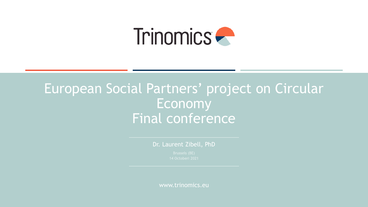

## European Social Partners' project on Circular Economy Final conference

Dr. Laurent Zibell, PhD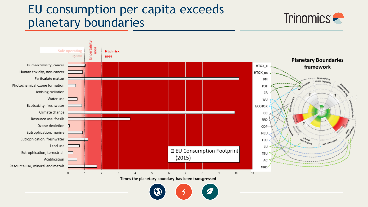## EU consumption per capita exceeds planetary boundaries





Times the planetary boundary has been transgressed

![](_page_1_Picture_4.jpeg)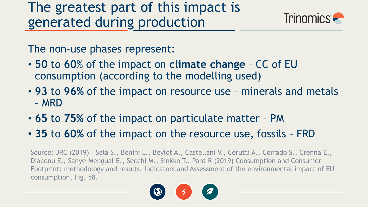![](_page_2_Picture_1.jpeg)

The non-use phases represent:

- **50** to **60**% of the impact on **climate change**  CC of EU consumption (according to the modelling used)
- **93** to **96%** of the impact on resource use minerals and metals – MRD
- **65** to **75%** of the impact on particulate matter PM
- **35** to **60%** of the impact on the resource use, fossils FRD

Source: JRC (2019) – Sala S., Benini L., Beylot A., Castellani V., Cerutti A., Corrado S., Crenna E., Diaconu E., Sanyé-Mengual E., Secchi M., Sinkko T., Pant R (2019) Consumption and Consumer Footprint: methodology and results. Indicators and Assessment of the environmental impact of EU consumption, Fig. 58.

![](_page_2_Picture_8.jpeg)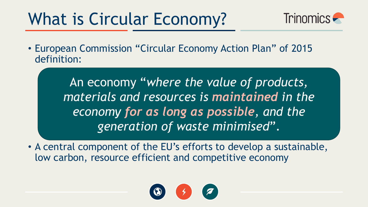# What is Circular Economy?

![](_page_3_Picture_1.jpeg)

• European Commission "Circular Economy Action Plan" of 2015 definition:

> An economy "*where the value of products, materials and resources is maintained in the economy for as long as possible, and the generation of waste minimised*".

• A central component of the EU's efforts to develop a sustainable, low carbon, resource efficient and competitive economy

![](_page_3_Picture_5.jpeg)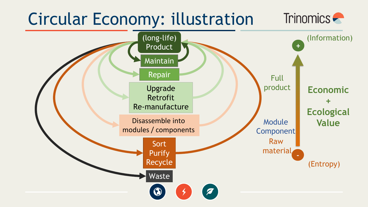#### Circular Economy: illustration Trinomics –

![](_page_4_Figure_1.jpeg)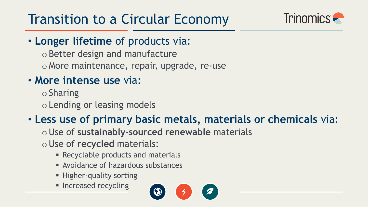![](_page_5_Picture_1.jpeg)

• **Longer lifetime** of products via:

oBetter design and manufacture o More maintenance, repair, upgrade, re-use

### • **More intense use** via:

 $\circ$  Sharing oLending or leasing models

### • **Less use of primary basic metals, materials or chemicals** via:

oUse of **sustainably-sourced renewable** materials

oUse of **recycled** materials:

- **EXECUTER PRECYCLABLE products and materials**
- Avoidance of hazardous substances
- Higher-quality sorting
- **E** Increased recycling

![](_page_5_Picture_13.jpeg)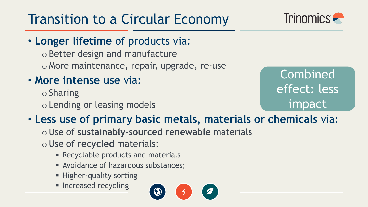![](_page_6_Picture_1.jpeg)

• **Longer lifetime** of products via:

oBetter design and manufacture o More maintenance, repair, upgrade, re-use

• **More intense use** via:

 $\circ$  Sharing oLending or leasing models

Combined effect: less impact

### • **Less use of primary basic metals, materials or chemicals** via:

oUse of **sustainably-sourced renewable** materials

oUse of **recycled** materials:

- **EXECUTER PRECYCLABLE products and materials**
- Avoidance of hazardous substances;
- **EXPLOSE:** Higher-quality sorting
- **E** Increased recycling

![](_page_6_Picture_14.jpeg)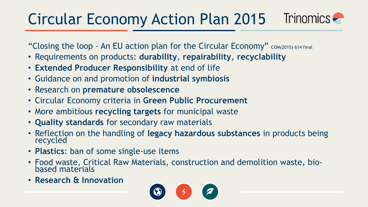#### Circular Economy Action Plan 2015 Trinomics **C**

"Closing the loop - An EU action plan for the Circular Economy" COM(2015) 614 final

- Requirements on products: **durability**, **repairability**, **recyclability**
- **Extended Producer Responsibility** at end of life
- Guidance on and promotion of **industrial symbiosis**
- Research on **premature obsolescence**
- Circular Economy criteria in **Green Public Procurement**
- More ambitious **recycling targets** for municipal waste
- **Quality standards** for secondary raw materials
- Reflection on the handling of **legacy hazardous substances** in products being recycled
- **Plastics**: ban of some single-use items
- Food waste, Critical Raw Materials, construction and demolition waste, biobased materials
- **Research & Innovation**

![](_page_7_Picture_13.jpeg)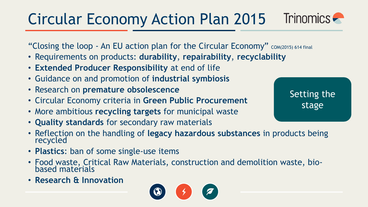#### Trinomics **Primary** Circular Economy Action Plan 2015

"Closing the loop - An EU action plan for the Circular Economy" COM(2015) 614 final

- Requirements on products: **durability**, **repairability**, **recyclability**
- **Extended Producer Responsibility** at end of life
- Guidance on and promotion of **industrial symbiosis**
- Research on **premature obsolescence**
- Circular Economy criteria in **Green Public Procurement**
- More ambitious **recycling targets** for municipal waste
- **Quality standards** for secondary raw materials
- Reflection on the handling of **legacy hazardous substances** in products being recycled
- **Plastics**: ban of some single-use items
- Food waste, Critical Raw Materials, construction and demolition waste, biobased materials
- **Research & Innovation**

![](_page_8_Picture_13.jpeg)

Setting the stage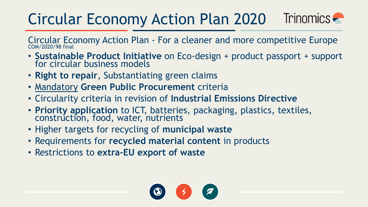#### Trinomics – Circular Economy Action Plan 2020

Circular Economy Action Plan - For a cleaner and more competitive Europe COM/2020/98 final

- **Sustainable Product Initiative** on Eco-design + product passport + support for circular business models
- **Right to repair**, Substantiating green claims
- Mandatory **Green Public Procurement** criteria
- Circularity criteria in revision of **Industrial Emissions Directive**
- **Priority application** to ICT, batteries, packaging, plastics, textiles, construction, food, water, nutrients
- Higher targets for recycling of **municipal waste**
- Requirements for **recycled material content** in products
- Restrictions to **extra-EU export of waste**

![](_page_9_Picture_10.jpeg)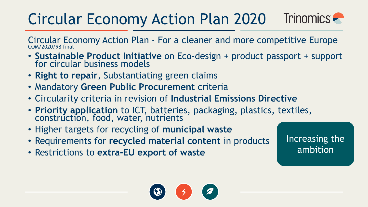#### Trinomics – Circular Economy Action Plan 2020

Circular Economy Action Plan - For a cleaner and more competitive Europe COM/2020/98 final

- **Sustainable Product Initiative** on Eco-design + product passport + support for circular business models
- **Right to repair**, Substantiating green claims
- Mandatory **Green Public Procurement** criteria
- Circularity criteria in revision of **Industrial Emissions Directive**
- **Priority application** to ICT, batteries, packaging, plastics, textiles, construction, food, water, nutrients
- Higher targets for recycling of **municipal waste**
- Requirements for **recycled material content** in products
- Restrictions to **extra-EU export of waste**

Increasing the ambition

![](_page_10_Picture_11.jpeg)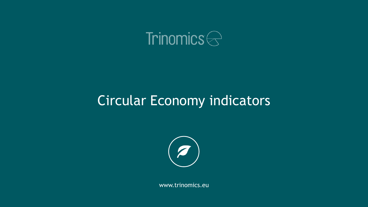![](_page_11_Picture_0.jpeg)

## Circular Economy indicators

![](_page_11_Picture_2.jpeg)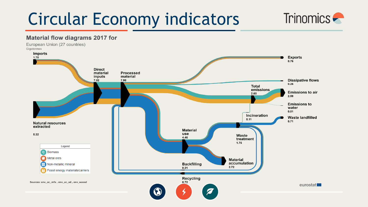# Circular Economy indicators

![](_page_12_Picture_1.jpeg)

#### **Material flow diagrams 2017 for**

European Union (27 countries) Gigatonnes

![](_page_12_Figure_4.jpeg)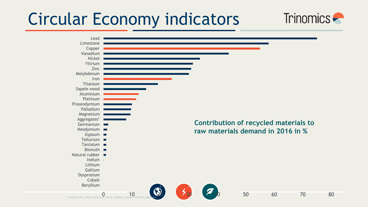# Circular Economy indicators

![](_page_13_Figure_1.jpeg)

Trinomics **-**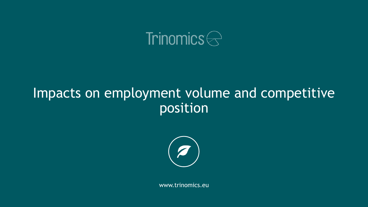![](_page_14_Picture_0.jpeg)

## Impacts on employment volume and competitive position

![](_page_14_Picture_2.jpeg)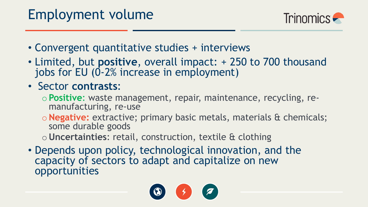![](_page_15_Picture_1.jpeg)

- Convergent quantitative studies + interviews
- Limited, but **positive**, overall impact: + 250 to 700 thousand jobs for EU (0-2% increase in employment)
- Sector **contrasts**:
	- o**Positive**: waste management, repair, maintenance, recycling, remanufacturing, re-use
	- o**Negative:** extractive; primary basic metals, materials & chemicals; some durable goods
	- o**Uncertainties**: retail, construction, textile & clothing
- Depends upon policy, technological innovation, and the capacity of sectors to adapt and capitalize on new opportunities

![](_page_15_Picture_9.jpeg)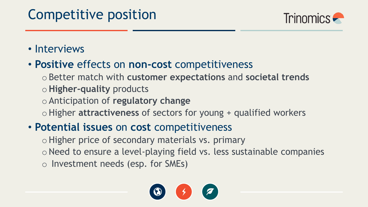# Competitive position

![](_page_16_Picture_1.jpeg)

### • Interviews

### • **Positive** effects on **non-cost** competitiveness

oBetter match with **customer expectations** and **societal trends** o**Higher-quality** products oAnticipation of **regulatory change** oHigher **attractiveness** of sectors for young + qualified workers

### • **Potential issues** on **cost** competitiveness

o Higher price of secondary materials vs. primary oNeed to ensure a level-playing field vs. less sustainable companies o Investment needs (esp. for SMEs)

![](_page_16_Picture_7.jpeg)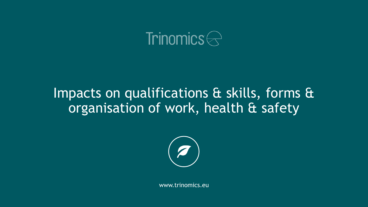![](_page_17_Picture_0.jpeg)

## Impacts on qualifications & skills, forms & organisation of work, health & safety

![](_page_17_Picture_2.jpeg)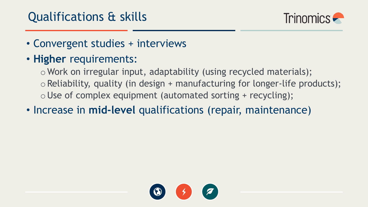![](_page_18_Picture_1.jpeg)

- Convergent studies + interviews
- **Higher** requirements:

o Work on irregular input, adaptability (using recycled materials);  $\circ$  Reliability, quality (in design + manufacturing for longer-life products);  $\circ$  Use of complex equipment (automated sorting + recycling);

• Increase in **mid-level** qualifications (repair, maintenance)

![](_page_18_Picture_6.jpeg)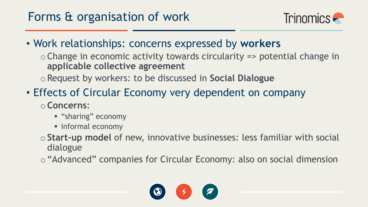![](_page_19_Picture_1.jpeg)

• Work relationships: concerns expressed by **workers**

 $\circ$  Change in economic activity towards circularity => potential change in **applicable collective agreement**

oRequest by workers: to be discussed in **Social Dialogue**

- Effects of Circular Economy very dependent on company o**Concerns**:
	- **"sharing" economy**
	- informal economy
	- o**Start-up model** of new, innovative businesses: less familiar with social dialogue

o"Advanced" companies for Circular Economy: also on social dimension

![](_page_19_Picture_10.jpeg)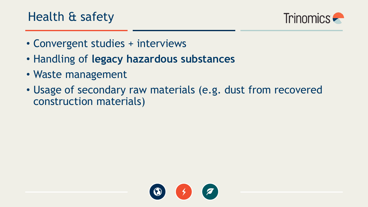![](_page_20_Picture_1.jpeg)

- Convergent studies + interviews
- Handling of **legacy hazardous substances**
- Waste management
- Usage of secondary raw materials (e.g. dust from recovered construction materials)

![](_page_20_Picture_6.jpeg)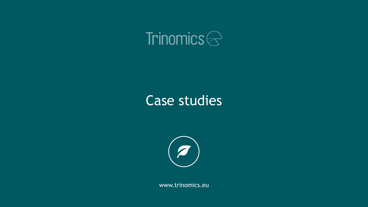![](_page_21_Picture_0.jpeg)

## Case studies

![](_page_21_Picture_2.jpeg)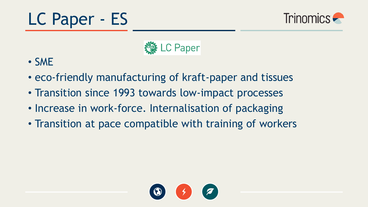![](_page_22_Picture_0.jpeg)

![](_page_22_Picture_1.jpeg)

![](_page_22_Picture_2.jpeg)

- SME
- eco-friendly manufacturing of kraft-paper and tissues
- Transition since 1993 towards low-impact processes
- Increase in work-force. Internalisation of packaging
- Transition at pace compatible with training of workers

![](_page_22_Picture_8.jpeg)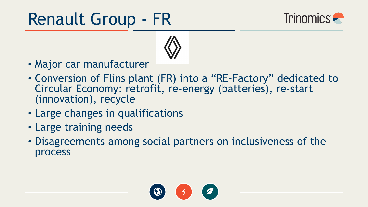# Renault Group - FR

![](_page_23_Picture_1.jpeg)

![](_page_23_Picture_2.jpeg)

- Major car manufacturer
- Conversion of Flins plant (FR) into a "RE-Factory" dedicated to Circular Economy: retrofit, re-energy (batteries), re-start (innovation), recycle
- Large changes in qualifications
- Large training needs
- Disagreements among social partners on inclusiveness of the process

![](_page_23_Picture_8.jpeg)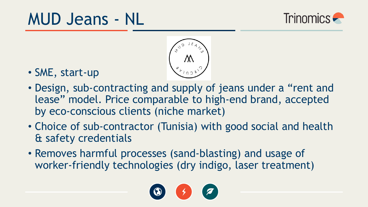# MUD Jeans - NL

![](_page_24_Picture_1.jpeg)

![](_page_24_Picture_2.jpeg)

- SME, start-up
- Design, sub-contracting and supply of jeans under a "rent and lease" model. Price comparable to high-end brand, accepted by eco-conscious clients (niche market)
- Choice of sub-contractor (Tunisia) with good social and health & safety credentials
- Removes harmful processes (sand-blasting) and usage of worker-friendly technologies (dry indigo, laser treatment)

![](_page_24_Picture_7.jpeg)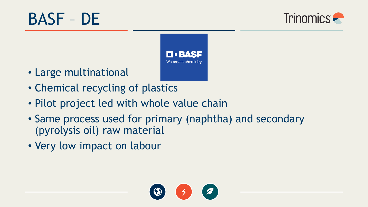![](_page_25_Picture_0.jpeg)

![](_page_25_Picture_1.jpeg)

![](_page_25_Picture_2.jpeg)

- Large multinational
- Chemical recycling of plastics
- Pilot project led with whole value chain
- Same process used for primary (naphtha) and secondary (pyrolysis oil) raw material
- Very low impact on labour

![](_page_25_Picture_8.jpeg)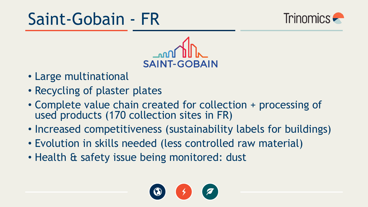# Saint-Gobain - FR

![](_page_26_Picture_1.jpeg)

![](_page_26_Picture_2.jpeg)

- Large multinational
- Recycling of plaster plates
- Complete value chain created for collection + processing of used products (170 collection sites in FR)
- Increased competitiveness (sustainability labels for buildings)
- Evolution in skills needed (less controlled raw material)
- Health & safety issue being monitored: dust

![](_page_26_Picture_9.jpeg)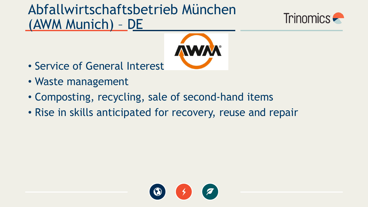# Abfallwirtschaftsbetrieb München (AWM Munich) – DE

![](_page_27_Picture_1.jpeg)

![](_page_27_Picture_2.jpeg)

- Service of General Interest
- Waste management
- Composting, recycling, sale of second-hand items
- Rise in skills anticipated for recovery, reuse and repair

![](_page_27_Picture_7.jpeg)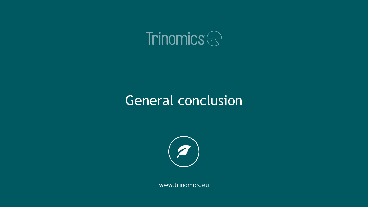![](_page_28_Picture_0.jpeg)

## General conclusion

![](_page_28_Picture_2.jpeg)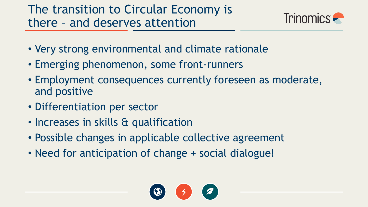![](_page_29_Picture_1.jpeg)

- Very strong environmental and climate rationale
- Emerging phenomenon, some front-runners
- Employment consequences currently foreseen as moderate, and positive
- Differentiation per sector
- Increases in skills & qualification
- Possible changes in applicable collective agreement
- Need for anticipation of change + social dialogue!

![](_page_29_Picture_9.jpeg)